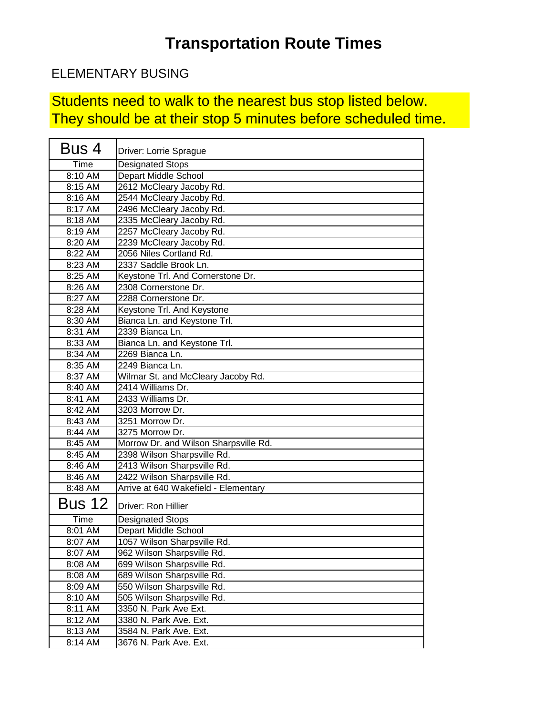### ELEMENTARY BUSING

Students need to walk to the nearest bus stop listed below. They should be at their stop 5 minutes before scheduled time.

| Bus 4         | Driver: Lorrie Sprague                |
|---------------|---------------------------------------|
| Time          | <b>Designated Stops</b>               |
| 8:10 AM       | Depart Middle School                  |
| 8:15 AM       | 2612 McCleary Jacoby Rd.              |
| 8:16 AM       | 2544 McCleary Jacoby Rd.              |
| 8:17 AM       | 2496 McCleary Jacoby Rd.              |
| 8:18 AM       | 2335 McCleary Jacoby Rd.              |
| 8:19 AM       | 2257 McCleary Jacoby Rd.              |
| 8:20 AM       | 2239 McCleary Jacoby Rd.              |
| 8:22 AM       | 2056 Niles Cortland Rd.               |
| 8:23 AM       | 2337 Saddle Brook Ln.                 |
| 8:25 AM       | Keystone Trl. And Cornerstone Dr.     |
| 8:26 AM       | 2308 Cornerstone Dr.                  |
| 8:27 AM       | 2288 Cornerstone Dr.                  |
| 8:28 AM       | Keystone Trl. And Keystone            |
| 8:30 AM       | Bianca Ln. and Keystone Trl.          |
| 8:31 AM       | 2339 Bianca Ln.                       |
| 8:33 AM       | Bianca Ln. and Keystone Trl.          |
| 8:34 AM       | 2269 Bianca Ln.                       |
| 8:35 AM       | 2249 Bianca Ln.                       |
| 8:37 AM       | Wilmar St. and McCleary Jacoby Rd.    |
| 8:40 AM       | 2414 Williams Dr.                     |
| 8:41 AM       | 2433 Williams Dr.                     |
| 8:42 AM       | 3203 Morrow Dr.                       |
| 8:43 AM       | 3251 Morrow Dr.                       |
| 8:44 AM       | 3275 Morrow Dr.                       |
| 8:45 AM       | Morrow Dr. and Wilson Sharpsville Rd. |
| 8:45 AM       | 2398 Wilson Sharpsville Rd.           |
| 8:46 AM       | 2413 Wilson Sharpsville Rd.           |
| 8:46 AM       | 2422 Wilson Sharpsville Rd.           |
| 8:48 AM       | Arrive at 640 Wakefield - Elementary  |
| <b>Bus 12</b> | Driver: Ron Hillier                   |
| Time          | <b>Designated Stops</b>               |
| 8:01 AM       | Depart Middle School                  |
| 8:07 AM       | 1057 Wilson Sharpsville Rd.           |
| 8:07 AM       | 962 Wilson Sharpsville Rd.            |
| 8:08 AM       | 699 Wilson Sharpsville Rd.            |
| 8:08 AM       | 689 Wilson Sharpsville Rd.            |
| 8:09 AM       | 550 Wilson Sharpsville Rd.            |
| 8:10 AM       | 505 Wilson Sharpsville Rd.            |
| 8:11 AM       | 3350 N. Park Ave Ext.                 |
| 8:12 AM       | 3380 N. Park Ave. Ext.                |
| 8:13 AM       | 3584 N. Park Ave. Ext.                |
| 8:14 AM       | 3676 N. Park Ave. Ext.                |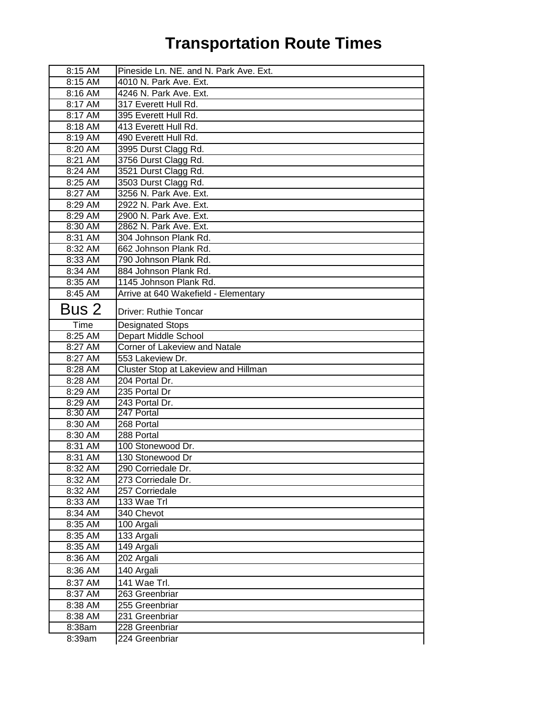| 8:15 AM   | Pineside Ln. NE. and N. Park Ave. Ext. |
|-----------|----------------------------------------|
| 8:15 AM   | 4010 N. Park Ave. Ext.                 |
| 8:16 AM   | 4246 N. Park Ave. Ext.                 |
| 8:17 AM   | 317 Everett Hull Rd.                   |
| 8:17 AM   | 395 Everett Hull Rd.                   |
| 8:18 AM   | 413 Everett Hull Rd.                   |
| 8:19 AM   | 490 Everett Hull Rd.                   |
| 8:20 AM   | 3995 Durst Clagg Rd.                   |
| 8:21 AM   | 3756 Durst Clagg Rd.                   |
| 8:24 AM   | 3521 Durst Clagg Rd.                   |
| 8:25 AM   | 3503 Durst Clagg Rd.                   |
| 8:27 AM   | 3256 N. Park Ave. Ext.                 |
| 8:29 AM   | 2922 N. Park Ave. Ext.                 |
| 8:29 AM   | 2900 N. Park Ave. Ext.                 |
| 8:30 AM   | 2862 N. Park Ave. Ext.                 |
| 8:31 AM   | 304 Johnson Plank Rd.                  |
| 8:32 AM   | 662 Johnson Plank Rd.                  |
| 8:33 AM   | 790 Johnson Plank Rd.                  |
| 8:34 AM   | 884 Johnson Plank Rd.                  |
| 8:35 AM   | 1145 Johnson Plank Rd.                 |
| $8:45$ AM | Arrive at 640 Wakefield - Elementary   |
| Bus 2     | Driver: Ruthie Toncar                  |
| Time      | <b>Designated Stops</b>                |
| 8:25 AM   | <b>Depart Middle School</b>            |
| 8:27 AM   | Corner of Lakeview and Natale          |
| 8:27 AM   | 553 Lakeview Dr.                       |
| 8:28 AM   | Cluster Stop at Lakeview and Hillman   |
| 8:28 AM   | 204 Portal Dr.                         |
| 8:29 AM   | 235 Portal Dr                          |
| 8:29 AM   | 243 Portal Dr.                         |
| 8:30 AM   | 247 Portal                             |
| 8:30 AM   | 268 Portal                             |
| 8:30 AM   | 288 Portal                             |
| 8:31 AM   | 100 Stonewood Dr.                      |
| 8:31 AM   | 130 Stonewood Dr                       |
| 8:32 AM   | 290 Corriedale Dr.                     |
| 8:32 AM   | 273 Corriedale Dr.                     |
| 8:32 AM   | 257 Corriedale                         |
| 8:33 AM   | 133 Wae Trl                            |
| 8:34 AM   | 340 Chevot                             |
| 8:35 AM   | 100 Argali                             |
| 8:35 AM   | 133 Argali                             |
| 8:35 AM   | 149 Argali                             |
| 8:36 AM   | 202 Argali                             |
| 8:36 AM   | 140 Argali                             |
| 8:37 AM   | 141 Wae Trl.                           |
| 8:37 AM   | 263 Greenbriar                         |
| 8:38 AM   | 255 Greenbriar                         |
| 8:38 AM   |                                        |
|           | 231 Greenbriar                         |
| 8:38am    | 228 Greenbriar                         |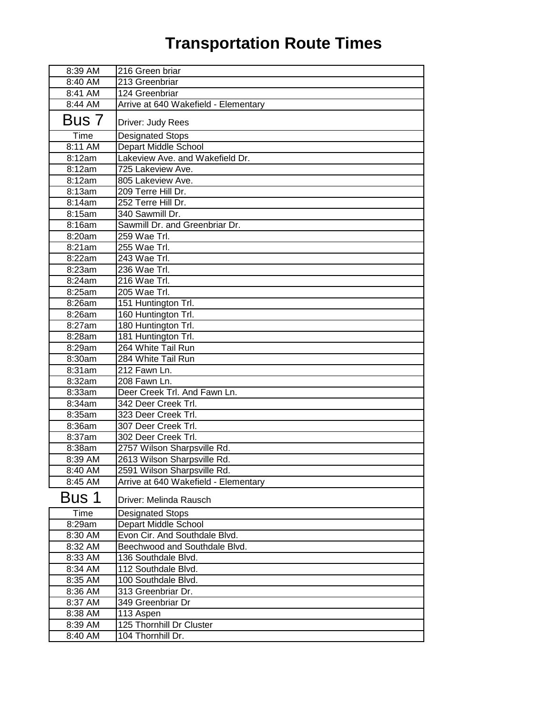| 8:39 AM | 216 Green briar                      |
|---------|--------------------------------------|
| 8:40 AM | 213 Greenbriar                       |
| 8:41 AM | 124 Greenbriar                       |
| 8:44 AM | Arrive at 640 Wakefield - Elementary |
| Bus 7   | Driver: Judy Rees                    |
| Time    | <b>Designated Stops</b>              |
| 8:11 AM | Depart Middle School                 |
| 8:12am  | Lakeview Ave. and Wakefield Dr.      |
| 8:12am  | 725 Lakeview Ave.                    |
| 8:12am  | 805 Lakeview Ave.                    |
| 8:13am  | 209 Terre Hill Dr.                   |
| 8:14am  | 252 Terre Hill Dr.                   |
| 8:15am  | 340 Sawmill Dr.                      |
| 8:16am  | Sawmill Dr. and Greenbriar Dr.       |
| 8:20am  | 259 Wae Trl.                         |
| 8:21am  | $255$ Wae Trl.                       |
| 8:22am  | $243$ Wae Trl.                       |
| 8:23am  | 236 Wae Trl.                         |
| 8:24am  | 216 Wae Trl.                         |
| 8:25am  | 205 Wae Trl.                         |
| 8:26am  | 151 Huntington Trl.                  |
| 8:26am  | 160 Huntington Trl.                  |
| 8:27am  | 180 Huntington Trl.                  |
| 8:28am  | 181 Huntington Trl.                  |
| 8:29am  | 264 White Tail Run                   |
| 8:30am  | 284 White Tail Run                   |
| 8:31am  | 212 Fawn Ln.                         |
| 8:32am  | $\overline{20}8$ Fawn Ln.            |
| 8:33am  | Deer Creek Trl. And Fawn Ln.         |
| 8:34am  | 342 Deer Creek Trl.                  |
| 8:35am  | 323 Deer Creek Trl.                  |
| 8:36am  | 307 Deer Creek Trl.                  |
| 8:37am  | 302 Deer Creek Trl.                  |
| 8:38am  | 2757 Wilson Sharpsville Rd.          |
| 8:39 AM | 2613 Wilson Sharpsville Rd.          |
| 8:40 AM | 2591 Wilson Sharpsville Rd.          |
| 8:45 AM | Arrive at 640 Wakefield - Elementary |
| Bus 1   | Driver: Melinda Rausch               |
| Time    | <b>Designated Stops</b>              |
| 8:29am  | Depart Middle School                 |
| 8:30 AM | Evon Cir. And Southdale Blvd.        |
| 8:32 AM | Beechwood and Southdale Blvd.        |
| 8:33 AM | 136 Southdale Blvd.                  |
| 8:34 AM | 112 Southdale Blvd.                  |
| 8:35 AM | 100 Southdale Blvd.                  |
| 8:36 AM | 313 Greenbriar Dr.                   |
| 8:37 AM | 349 Greenbriar Dr                    |
| 8:38 AM | 113 Aspen                            |
| 8:39 AM | 125 Thornhill Dr Cluster             |
| 8:40 AM | 104 Thornhill Dr.                    |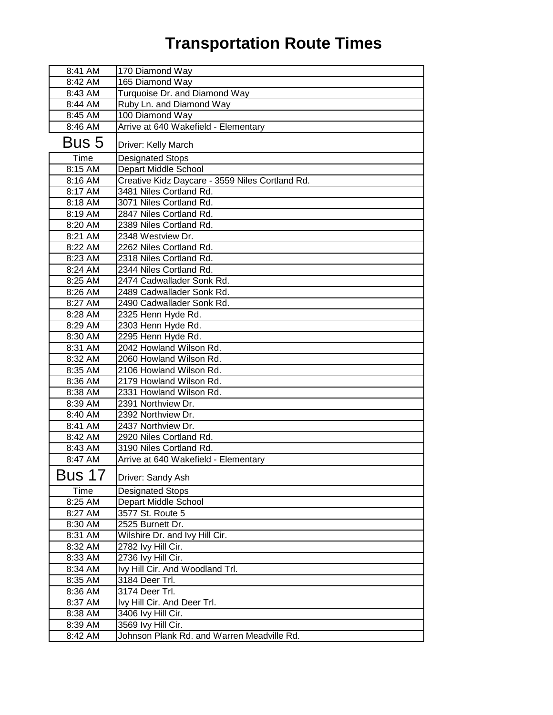| 8:41 AM | 170 Diamond Way                                 |
|---------|-------------------------------------------------|
| 8:42 AM | 165 Diamond Way                                 |
| 8:43 AM | Turquoise Dr. and Diamond Way                   |
| 8:44 AM | Ruby Ln. and Diamond Way                        |
| 8:45 AM | 100 Diamond Way                                 |
| 8:46 AM | Arrive at 640 Wakefield - Elementary            |
| Bus 5   | Driver: Kelly March                             |
| Time    | <b>Designated Stops</b>                         |
| 8:15 AM | Depart Middle School                            |
| 8:16 AM | Creative Kidz Daycare - 3559 Niles Cortland Rd. |
| 8:17 AM | 3481 Niles Cortland Rd.                         |
| 8:18 AM | 3071 Niles Cortland Rd.                         |
| 8:19 AM | 2847 Niles Cortland Rd.                         |
| 8:20 AM | 2389 Niles Cortland Rd.                         |
| 8:21 AM | 2348 Westview Dr.                               |
| 8:22 AM | 2262 Niles Cortland Rd.                         |
| 8:23 AM | 2318 Niles Cortland Rd.                         |
| 8:24 AM | 2344 Niles Cortland Rd.                         |
| 8:25 AM | 2474 Cadwallader Sonk Rd.                       |
| 8:26 AM | 2489 Cadwallader Sonk Rd.                       |
| 8:27 AM | 2490 Cadwallader Sonk Rd.                       |
| 8:28 AM | 2325 Henn Hyde Rd.                              |
| 8:29 AM | 2303 Henn Hyde Rd.                              |
| 8:30 AM | 2295 Henn Hyde Rd.                              |
| 8:31 AM | 2042 Howland Wilson Rd.                         |
| 8:32 AM | 2060 Howland Wilson Rd.                         |
| 8:35 AM | 2106 Howland Wilson Rd.                         |
| 8:36 AM | 2179 Howland Wilson Rd.                         |
| 8:38 AM | 2331 Howland Wilson Rd.                         |
| 8:39 AM | 2391 Northview Dr.                              |
| 8:40 AM | 2392 Northview Dr.                              |
| 8:41 AM | 2437 Northview Dr.                              |
| 8:42 AM | 2920 Niles Cortland Rd.                         |
| 8:43 AM | 3190 Niles Cortland Rd.                         |
| 8:47 AM | Arrive at 640 Wakefield - Elementary            |
| Bus 17  | Driver: Sandy Ash                               |
| Time    | <b>Designated Stops</b>                         |
| 8:25 AM | Depart Middle School                            |
| 8:27 AM | 3577 St. Route 5                                |
| 8:30 AM | 2525 Burnett Dr.                                |
| 8:31 AM | Wilshire Dr. and Ivy Hill Cir.                  |
| 8:32 AM | 2782 Ivy Hill Cir.                              |
| 8:33 AM | 2736 Ivy Hill Cir.                              |
| 8:34 AM | Ivy Hill Cir. And Woodland Trl.                 |
| 8:35 AM | 3184 Deer Trl.                                  |
| 8:36 AM | 3174 Deer Trl.                                  |
| 8:37 AM | Ivy Hill Cir. And Deer Trl.                     |
| 8:38 AM | 3406 Ivy Hill Cir.                              |
| 8:39 AM | 3569 Ivy Hill Cir.                              |
| 8:42 AM | Johnson Plank Rd. and Warren Meadville Rd.      |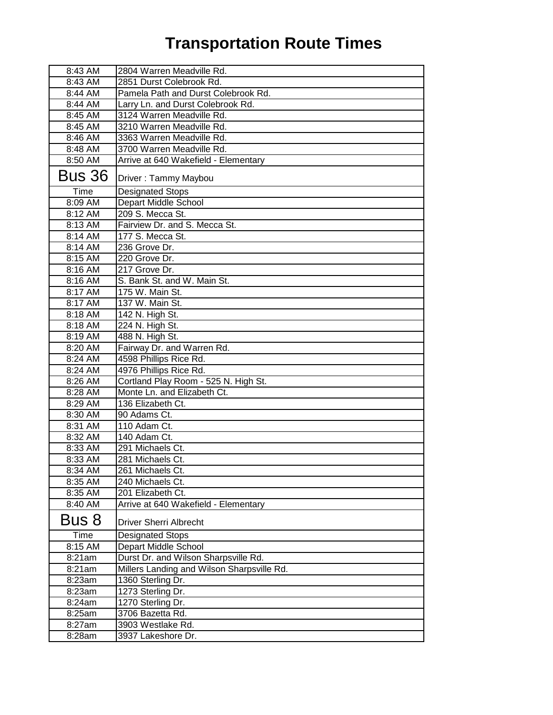| 8:43 AM       | 2804 Warren Meadville Rd.                  |
|---------------|--------------------------------------------|
| 8:43 AM       | 2851 Durst Colebrook Rd.                   |
| 8:44 AM       | Pamela Path and Durst Colebrook Rd.        |
| 8:44 AM       | Larry Ln. and Durst Colebrook Rd.          |
| 8:45 AM       | 3124 Warren Meadville Rd.                  |
| 8:45 AM       | 3210 Warren Meadville Rd.                  |
| 8:46 AM       | 3363 Warren Meadville Rd.                  |
| 8:48 AM       | 3700 Warren Meadville Rd.                  |
| 8:50 AM       | Arrive at 640 Wakefield - Elementary       |
| <b>Bus 36</b> | Driver: Tammy Maybou                       |
| Time          | <b>Designated Stops</b>                    |
| 8:09 AM       | Depart Middle School                       |
| 8:12 AM       | 209 S. Mecca St.                           |
| 8:13 AM       | Fairview Dr. and S. Mecca St.              |
| 8:14 AM       | 177 S. Mecca St.                           |
| 8:14 AM       | 236 Grove Dr.                              |
| 8:15 AM       | 220 Grove Dr.                              |
| 8:16 AM       | 217 Grove Dr.                              |
| 8:16 AM       | S. Bank St. and W. Main St.                |
| 8:17 AM       | 175 W. Main St.                            |
| 8:17 AM       | 137 W. Main St.                            |
| 8:18 AM       | 142 N. High St.                            |
| 8:18 AM       | 224 N. High St.                            |
| 8:19 AM       | 488 N. High St.                            |
| 8:20 AM       | Fairway Dr. and Warren Rd.                 |
| 8:24 AM       | 4598 Phillips Rice Rd.                     |
| 8:24 AM       | 4976 Phillips Rice Rd.                     |
| 8:26 AM       | Cortland Play Room - 525 N. High St.       |
| 8:28 AM       | Monte Ln. and Elizabeth Ct.                |
| 8:29 AM       | 136 Elizabeth Ct.                          |
| 8:30 AM       | 90 Adams Ct.                               |
| 8:31 AM       | 110 Adam Ct.                               |
| 8:32 AM       | 140 Adam Ct.                               |
| 8:33 AM       | 291 Michaels Ct.                           |
| 8:33 AM       | 281 Michaels Ct.                           |
| 8:34 AM       | 261 Michaels Ct.                           |
| 8:35 AM       | 240 Michaels Ct.                           |
| 8:35 AM       | 201 Elizabeth Ct.                          |
| 8:40 AM       | Arrive at 640 Wakefield - Elementary       |
| Bus 8         | <b>Driver Sherri Albrecht</b>              |
| Time          | <b>Designated Stops</b>                    |
| 8:15 AM       | Depart Middle School                       |
| 8:21am        | Durst Dr. and Wilson Sharpsville Rd.       |
| 8:21 am       | Millers Landing and Wilson Sharpsville Rd. |
| 8:23am        | 1360 Sterling Dr.                          |
| 8:23am        | 1273 Sterling Dr.                          |
| 8:24am        | 1270 Sterling Dr.                          |
| 8:25am        | 3706 Bazetta Rd.                           |
| 8:27am        | 3903 Westlake Rd.                          |
| 8:28am        | 3937 Lakeshore Dr.                         |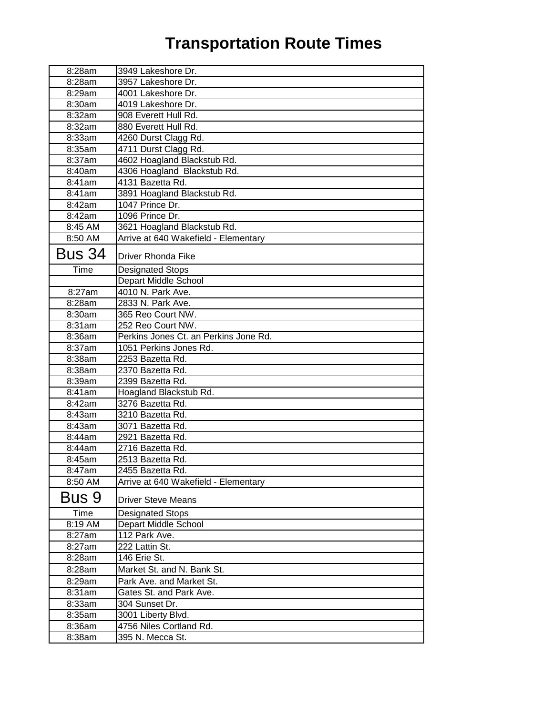| 8:28am        | 3949 Lakeshore Dr.                    |
|---------------|---------------------------------------|
| 8:28am        | 3957 Lakeshore Dr.                    |
| 8:29am        | 4001 Lakeshore Dr.                    |
| 8:30am        | 4019 Lakeshore Dr.                    |
| 8:32am        | 908 Everett Hull Rd.                  |
| 8:32am        | 880 Everett Hull Rd.                  |
| 8:33am        | 4260 Durst Clagg Rd.                  |
| 8:35am        | 4711 Durst Clagg Rd.                  |
| 8:37am        | 4602 Hoagland Blackstub Rd.           |
| 8:40am        | 4306 Hoagland Blackstub Rd.           |
| 8:41am        | 4131 Bazetta Rd.                      |
| 8:41am        | 3891 Hoagland Blackstub Rd.           |
| 8:42am        | 1047 Prince Dr.                       |
| 8:42am        | 1096 Prince Dr.                       |
| 8:45 AM       | 3621 Hoagland Blackstub Rd.           |
| 8:50 AM       | Arrive at 640 Wakefield - Elementary  |
| <b>Bus 34</b> | <b>Driver Rhonda Fike</b>             |
| Time          | <b>Designated Stops</b>               |
|               | Depart Middle School                  |
| 8:27am        | 4010 N. Park Ave.                     |
| 8:28am        | 2833 N. Park Ave.                     |
| 8:30am        | 365 Reo Court NW.                     |
| 8:31am        | 252 Reo Court NW.                     |
| 8:36am        | Perkins Jones Ct. an Perkins Jone Rd. |
| 8:37am        | 1051 Perkins Jones Rd.                |
| 8:38am        | 2253 Bazetta Rd.                      |
| 8:38am        | 2370 Bazetta Rd.                      |
| 8:39am        | 2399 Bazetta Rd.                      |
| 8:41am        | Hoagland Blackstub Rd.                |
| 8:42am        | 3276 Bazetta Rd.                      |
| 8:43am        | 3210 Bazetta Rd.                      |
| 8:43am        | 3071 Bazetta Rd.                      |
| 8:44am        | 2921 Bazetta Rd.                      |
| 8:44am        | 2716 Bazetta Rd.                      |
| 8:45am        | 2513 Bazetta Rd.                      |
| 8:47am        | 2455 Bazetta Rd.                      |
| 8:50 AM       | Arrive at 640 Wakefield - Elementary  |
| Bus 9         | <b>Driver Steve Means</b>             |
| Time          | <b>Designated Stops</b>               |
| 8:19 AM       | Depart Middle School                  |
| 8:27am        | 112 Park Ave.                         |
| 8:27am        | 222 Lattin St.                        |
| 8:28am        | 146 Erie St.                          |
| 8:28am        | Market St. and N. Bank St.            |
| 8:29am        | Park Ave. and Market St.              |
| 8:31am        | Gates St. and Park Ave.               |
| 8:33am        | 304 Sunset Dr.                        |
| 8:35am        | 3001 Liberty Blvd.                    |
| 8:36am        | 4756 Niles Cortland Rd.               |
| 8:38am        | 395 N. Mecca St.                      |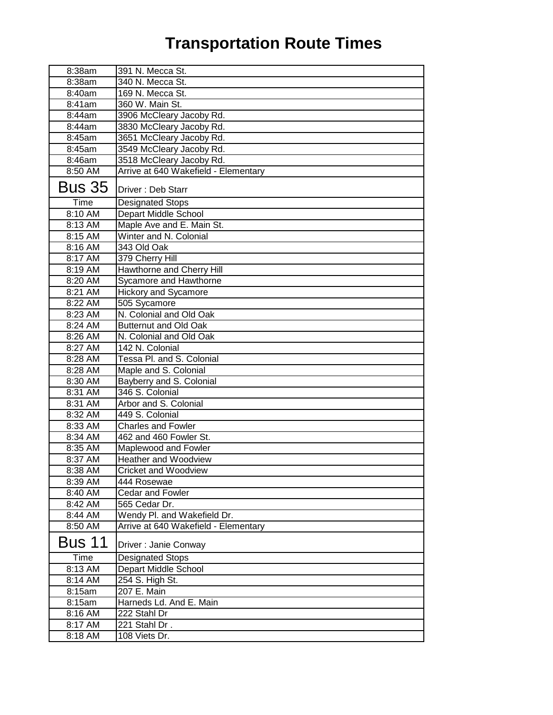| 8:38am        | 391 N. Mecca St.                     |
|---------------|--------------------------------------|
| 8:38am        | 340 N. Mecca St.                     |
| 8:40am        | 169 N. Mecca St.                     |
| 8:41am        | 360 W. Main St.                      |
| 8:44am        | 3906 McCleary Jacoby Rd.             |
| 8:44am        | 3830 McCleary Jacoby Rd.             |
| 8:45am        | 3651 McCleary Jacoby Rd.             |
| 8:45am        | 3549 McCleary Jacoby Rd.             |
| 8:46am        | 3518 McCleary Jacoby Rd.             |
| 8:50 AM       | Arrive at 640 Wakefield - Elementary |
| <b>Bus 35</b> | Driver: Deb Starr                    |
| Time          | <b>Designated Stops</b>              |
| 8:10 AM       | Depart Middle School                 |
| 8:13 AM       | Maple Ave and E. Main St.            |
| 8:15 AM       | Winter and N. Colonial               |
| 8:16 AM       | 343 Old Oak                          |
| 8:17 AM       | 379 Cherry Hill                      |
| 8:19 AM       | Hawthorne and Cherry Hill            |
| 8:20 AM       | Sycamore and Hawthorne               |
| 8:21 AM       | <b>Hickory and Sycamore</b>          |
| 8:22 AM       | 505 Sycamore                         |
| 8:23 AM       | N. Colonial and Old Oak              |
| 8:24 AM       | <b>Butternut and Old Oak</b>         |
| 8:26 AM       | N. Colonial and Old Oak              |
| 8:27 AM       | 142 N. Colonial                      |
| 8:28 AM       | Tessa Pl. and S. Colonial            |
| 8:28 AM       | Maple and S. Colonial                |
| 8:30 AM       | Bayberry and S. Colonial             |
| 8:31 AM       | 346 S. Colonial                      |
| 8:31 AM       | Arbor and S. Colonial                |
| 8:32 AM       | 449 S. Colonial                      |
| 8:33 AM       | <b>Charles and Fowler</b>            |
| 8:34 AM       | 462 and 460 Fowler St.               |
| $8:35$ AM     | Maplewood and Fowler                 |
| 8:37 AM       | Heather and Woodview                 |
| 8:38 AM       | <b>Cricket and Woodview</b>          |
| 8:39 AM       | 444 Rosewae                          |
| 8:40 AM       | Cedar and Fowler                     |
| 8:42 AM       | 565 Cedar Dr.                        |
| 8:44 AM       | Wendy Pl. and Wakefield Dr.          |
| 8:50 AM       | Arrive at 640 Wakefield - Elementary |
| Bus 11        | Driver: Janie Conway                 |
| Time          | <b>Designated Stops</b>              |
| 8:13 AM       | Depart Middle School                 |
| 8:14 AM       | 254 S. High St.                      |
| 8:15am        | 207 E. Main                          |
| 8:15am        | Harneds Ld. And E. Main              |
| 8:16 AM       | 222 Stahl Dr                         |
| 8:17 AM       | 221 Stahl Dr.                        |
| 8:18 AM       | 108 Viets Dr.                        |